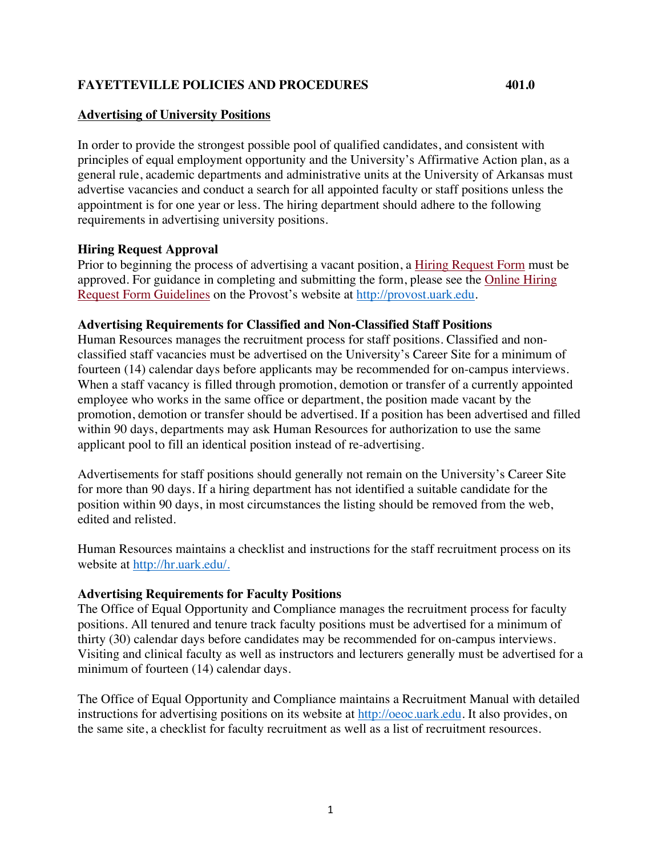# **FAYETTEVILLE POLICIES AND PROCEDURES 401.0**

#### **Advertising of University Positions**

In order to provide the strongest possible pool of qualified candidates, and consistent with principles of equal employment opportunity and the University's Affirmative Action plan, as a general rule, academic departments and administrative units at the University of Arkansas must advertise vacancies and conduct a search for all appointed faculty or staff positions unless the appointment is for one year or less. The hiring department should adhere to the following requirements in advertising university positions.

### **Hiring Request Approval**

Prior to beginning the process of advertising a vacant position, a Hiring Request Form must be approved. For guidance in completing and submitting the form, please see the Online Hiring Request Form Guidelines on the Provost's website at http://provost.uark.edu.

#### **Advertising Requirements for Classified and Non-Classified Staff Positions**

Human Resources manages the recruitment process for staff positions. Classified and nonclassified staff vacancies must be advertised on the University's Career Site for a minimum of fourteen (14) calendar days before applicants may be recommended for on-campus interviews. When a staff vacancy is filled through promotion, demotion or transfer of a currently appointed employee who works in the same office or department, the position made vacant by the promotion, demotion or transfer should be advertised. If a position has been advertised and filled within 90 days, departments may ask Human Resources for authorization to use the same applicant pool to fill an identical position instead of re-advertising.

Advertisements for staff positions should generally not remain on the University's Career Site for more than 90 days. If a hiring department has not identified a suitable candidate for the position within 90 days, in most circumstances the listing should be removed from the web, edited and relisted.

Human Resources maintains a checklist and instructions for the staff recruitment process on its website at http://hr.uark.edu/.

### **Advertising Requirements for Faculty Positions**

The Office of Equal Opportunity and Compliance manages the recruitment process for faculty positions. All tenured and tenure track faculty positions must be advertised for a minimum of thirty (30) calendar days before candidates may be recommended for on-campus interviews. Visiting and clinical faculty as well as instructors and lecturers generally must be advertised for a minimum of fourteen (14) calendar days.

The Office of Equal Opportunity and Compliance maintains a Recruitment Manual with detailed instructions for advertising positions on its website at http://oeoc.uark.edu. It also provides, on the same site, a checklist for faculty recruitment as well as a list of recruitment resources.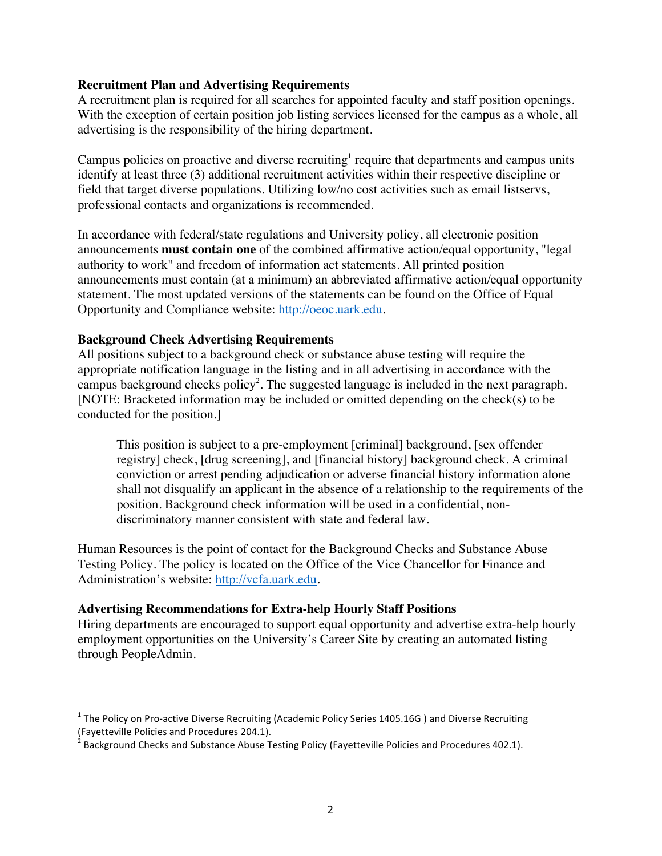### **Recruitment Plan and Advertising Requirements**

A recruitment plan is required for all searches for appointed faculty and staff position openings. With the exception of certain position job listing services licensed for the campus as a whole, all advertising is the responsibility of the hiring department.

Campus policies on proactive and diverse recruiting<sup>1</sup> require that departments and campus units identify at least three (3) additional recruitment activities within their respective discipline or field that target diverse populations. Utilizing low/no cost activities such as email listservs, professional contacts and organizations is recommended.

In accordance with federal/state regulations and University policy, all electronic position announcements **must contain one** of the combined affirmative action/equal opportunity, "legal authority to work" and freedom of information act statements. All printed position announcements must contain (at a minimum) an abbreviated affirmative action/equal opportunity statement. The most updated versions of the statements can be found on the Office of Equal Opportunity and Compliance website: http://oeoc.uark.edu.

#### **Background Check Advertising Requirements**

<u> 1989 - Johann Stein, fransk politiker (d. 1989)</u>

All positions subject to a background check or substance abuse testing will require the appropriate notification language in the listing and in all advertising in accordance with the campus background checks policy<sup>2</sup>. The suggested language is included in the next paragraph. [NOTE: Bracketed information may be included or omitted depending on the check(s) to be conducted for the position.]

This position is subject to a pre-employment [criminal] background, [sex offender registry] check, [drug screening], and [financial history] background check. A criminal conviction or arrest pending adjudication or adverse financial history information alone shall not disqualify an applicant in the absence of a relationship to the requirements of the position. Background check information will be used in a confidential, nondiscriminatory manner consistent with state and federal law.

Human Resources is the point of contact for the Background Checks and Substance Abuse Testing Policy. The policy is located on the Office of the Vice Chancellor for Finance and Administration's website: http://vcfa.uark.edu.

### **Advertising Recommendations for Extra-help Hourly Staff Positions**

Hiring departments are encouraged to support equal opportunity and advertise extra-help hourly employment opportunities on the University's Career Site by creating an automated listing through PeopleAdmin.

 $1$  The Policy on Pro-active Diverse Recruiting (Academic Policy Series 1405.16G) and Diverse Recruiting (Fayetteville Policies and Procedures 204.1).<br><sup>2</sup> Background Checks and Substance Abuse Testing Policy (Fayetteville Policies and Procedures 402.1).